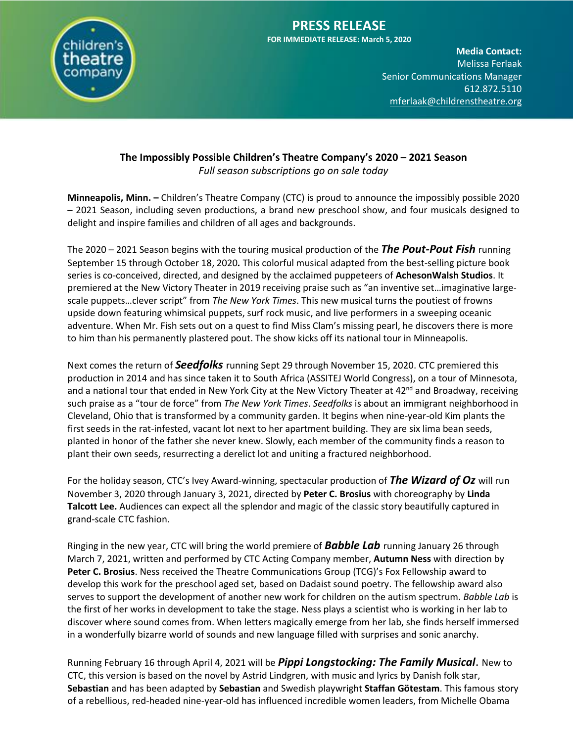

#### **PRESS RELEASE FOR IMMEDIATE RELEASE: March 5, 2020**

**Media Contact:**  Melissa Ferlaak **Senior Communications Manager** 612.872.5110 [mferlaak@childrenstheatre.org](mailto:mferlaak@childrenstheatre.org)

#### **The Impossibly Possible Children's Theatre Company's 2020 – 2021 Season** *Full season subscriptions go on sale today*

**Minneapolis, Minn. –** Children's Theatre Company (CTC) is proud to announce the impossibly possible 2020 – 2021 Season, including seven productions, a brand new preschool show, and four musicals designed to delight and inspire families and children of all ages and backgrounds.

The 2020 – 2021 Season begins with the touring musical production of the *The Pout-Pout Fish* running September 15 through October 18, 2020*.* This colorful musical adapted from the best-selling picture book series is co-conceived, directed, and designed by the acclaimed puppeteers of **AchesonWalsh Studios**. It premiered at the New Victory Theater in 2019 receiving praise such as "an inventive set…imaginative largescale puppets…clever script" from *The New York Times*. This new musical turns the poutiest of frowns upside down featuring whimsical puppets, surf rock music, and live performers in a sweeping oceanic adventure. When Mr. Fish sets out on a quest to find Miss Clam's missing pearl, he discovers there is more to him than his permanently plastered pout. The show kicks off its national tour in Minneapolis.

Next comes the return of *Seedfolks* running Sept 29 through November 15, 2020. CTC premiered this production in 2014 and has since taken it to South Africa (ASSITEJ World Congress), on a tour of Minnesota, and a national tour that ended in New York City at the New Victory Theater at 42<sup>nd</sup> and Broadway, receiving such praise as a "tour de force" from *The New York Times*. *Seedfolks* is about an immigrant neighborhood in Cleveland, Ohio that is transformed by a community garden. It begins when nine-year-old Kim plants the first seeds in the rat-infested, vacant lot next to her apartment building. They are six lima bean seeds, planted in honor of the father she never knew. Slowly, each member of the community finds a reason to plant their own seeds, resurrecting a derelict lot and uniting a fractured neighborhood.

For the holiday season, CTC's Ivey Award-winning, spectacular production of *The Wizard of Oz* will run November 3, 2020 through January 3, 2021, directed by **Peter C. Brosius** with choreography by **Linda Talcott Lee.** Audiences can expect all the splendor and magic of the classic story beautifully captured in grand-scale CTC fashion.

Ringing in the new year, CTC will bring the world premiere of *Babble Lab* running January 26 through March 7, 2021, written and performed by CTC Acting Company member, **Autumn Ness** with direction by **Peter C. Brosius**. Ness received the Theatre Communications Group (TCG)'s Fox Fellowship award to develop this work for the preschool aged set, based on Dadaist sound poetry. The fellowship award also serves to support the development of another new work for children on the autism spectrum. *Babble Lab* is the first of her works in development to take the stage. Ness plays a scientist who is working in her lab to discover where sound comes from. When letters magically emerge from her lab, she finds herself immersed in a wonderfully bizarre world of sounds and new language filled with surprises and sonic anarchy.

Running February 16 through April 4, 2021 will be *Pippi Longstocking: The Family Musical*. New to CTC, this version is based on the novel by Astrid Lindgren, with music and lyrics by Danish folk star, **Sebastian** and has been adapted by **Sebastian** and Swedish playwright **Staffan Götestam**. This famous story of a rebellious, red-headed nine-year-old has influenced incredible women leaders, from Michelle Obama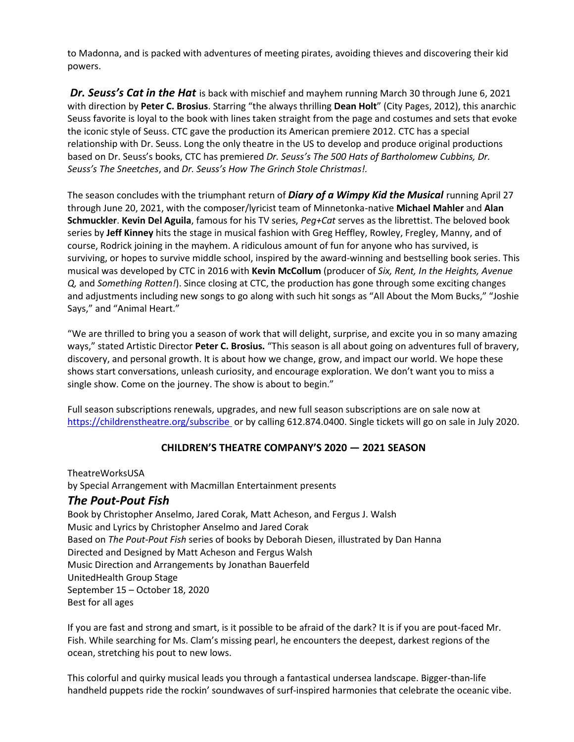**Media Contact:**  to Madonna, and is packed with adventures of meeting pirates, avoiding thieves and discovering their kid powers.

Dr. Seuss's Cat in the Hat is back with mischief and mayhem running March 30 through June 6, 2021 with direction by Peter C. Brosius. Starring "the always thrilling Dean Holt" (City Pages, 2012), this anarchic Seuss favorite is loyal to the book with lines taken straight from the page and costumes and sets that evoke the iconic style of Seuss. CTC gave the production its American premiere 2012. CTC has a special relationship with Dr. Seuss. Long the only theatre in the US to develop and produce original productions based on Dr. Seuss's books, CTC has premiered *Dr. Seuss's The 500 Hats of Bartholomew Cubbins, Dr. Seuss's The Sneetches*, and *Dr. Seuss's How The Grinch Stole Christmas!.* 

The season concludes with the triumphant return of *Diary of a Wimpy Kid the Musical* running April 27 through June 20, 2021, with the composer/lyricist team of Minnetonka-native **Michael Mahler** and **Alan Schmuckler**. **Kevin Del Aguila**, famous for his TV series, *Peg+Cat* serves as the librettist. The beloved book series by **Jeff Kinney** hits the stage in musical fashion with Greg Heffley, Rowley, Fregley, Manny, and of course, Rodrick joining in the mayhem. A ridiculous amount of fun for anyone who has survived, is surviving, or hopes to survive middle school, inspired by the award-winning and bestselling book series. This musical was developed by CTC in 2016 with **Kevin McCollum** (producer of *Six, Rent, In the Heights, Avenue Q,* and *Something Rotten!*). Since closing at CTC, the production has gone through some exciting changes and adjustments including new songs to go along with such hit songs as "All About the Mom Bucks," "Joshie Says," and "Animal Heart."

"We are thrilled to bring you a season of work that will delight, surprise, and excite you in so many amazing ways," stated Artistic Director **Peter C. Brosius.** "This season is all about going on adventures full of bravery, discovery, and personal growth. It is about how we change, grow, and impact our world. We hope these shows start conversations, unleash curiosity, and encourage exploration. We don't want you to miss a single show. Come on the journey. The show is about to begin."

Full season subscriptions renewals, upgrades, and new full season subscriptions are on sale now at <https://childrenstheatre.org/subscribe> or by calling 612.874.0400. Single tickets will go on sale in July 2020.

#### **CHILDREN'S THEATRE COMPANY'S 2020 — 2021 SEASON**

TheatreWorksUSA by Special Arrangement with Macmillan Entertainment presents *The Pout-Pout Fish* Book by Christopher Anselmo, Jared Corak, Matt Acheson, and Fergus J. Walsh Music and Lyrics by Christopher Anselmo and Jared Corak Based on *The Pout-Pout Fish* series of books by Deborah Diesen, illustrated by Dan Hanna Directed and Designed by Matt Acheson and Fergus Walsh Music Direction and Arrangements by Jonathan Bauerfeld UnitedHealth Group Stage September 15 – October 18, 2020 Best for all ages

If you are fast and strong and smart, is it possible to be afraid of the dark? It is if you are pout-faced Mr. Fish. While searching for Ms. Clam's missing pearl, he encounters the deepest, darkest regions of the ocean, stretching his pout to new lows.

This colorful and quirky musical leads you through a fantastical undersea landscape. Bigger-than-life handheld puppets ride the rockin' soundwaves of surf-inspired harmonies that celebrate the oceanic vibe.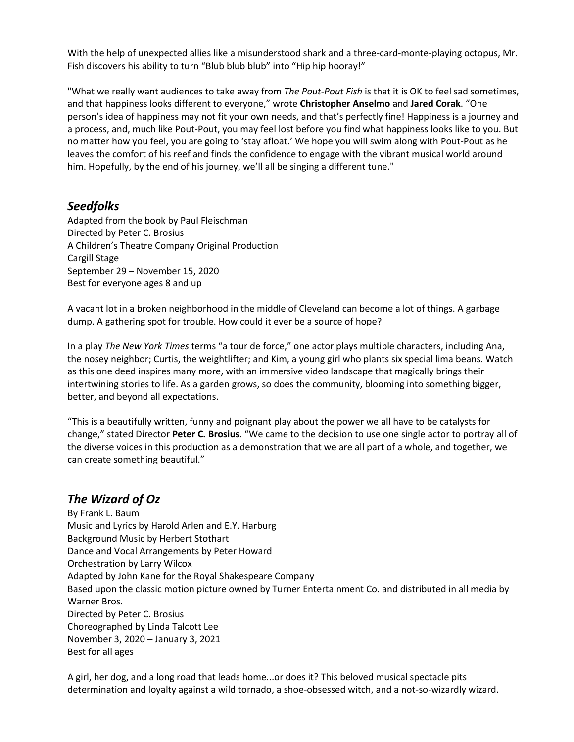With the help of unexpected allies like a misunderstood shark and a three-card-monte-playing octopus, Mr. Fish discovers his ability to turn "Blub blub blub" into "Hip hip hooray!"

"What we really want audiences to take away from *The Pout-Pout Fish* is that it is OK to feel sad sometimes, and that happiness looks different to everyone," wrote **Christopher Anselmo** and Jared Corak. "One person's idea of happiness may not fit your own needs, and that's perfectly fine! Happiness is a journey and a process, and, much like Pout-Pout, you may feel lost before you find what happiness looks like to you. But no matter how you feel, you are going to 'stay afloat.' We hope you will swim along with Pout-Pout as he leaves the comfort of his reef and finds the confidence to engage with the vibrant musical world around him. Hopefully, by the end of his journey, we'll all be singing a different tune."

### *Seedfolks*

Adapted from the book by Paul Fleischman Directed by Peter C. Brosius A Children's Theatre Company Original Production Cargill Stage September 29 – November 15, 2020 Best for everyone ages 8 and up

A vacant lot in a broken neighborhood in the middle of Cleveland can become a lot of things. A garbage dump. A gathering spot for trouble. How could it ever be a source of hope?

In a play *The New York Times* terms "a tour de force," one actor plays multiple characters, including Ana, the nosey neighbor; Curtis, the weightlifter; and Kim, a young girl who plants six special lima beans. Watch as this one deed inspires many more, with an immersive video landscape that magically brings their intertwining stories to life. As a garden grows, so does the community, blooming into something bigger, better, and beyond all expectations.

"This is a beautifully written, funny and poignant play about the power we all have to be catalysts for change," stated Director **Peter C. Brosius**. "We came to the decision to use one single actor to portray all of the diverse voices in this production as a demonstration that we are all part of a whole, and together, we can create something beautiful."

# *The Wizard of Oz*

By Frank L. Baum Music and Lyrics by Harold Arlen and E.Y. Harburg Background Music by Herbert Stothart Dance and Vocal Arrangements by Peter Howard Orchestration by Larry Wilcox Adapted by John Kane for the Royal Shakespeare Company Based upon the classic motion picture owned by Turner Entertainment Co. and distributed in all media by Warner Bros. Directed by Peter C. Brosius Choreographed by Linda Talcott Lee November 3, 2020 – January 3, 2021 Best for all ages

A girl, her dog, and a long road that leads home...or does it? This beloved musical spectacle pits determination and loyalty against a wild tornado, a shoe-obsessed witch, and a not-so-wizardly wizard.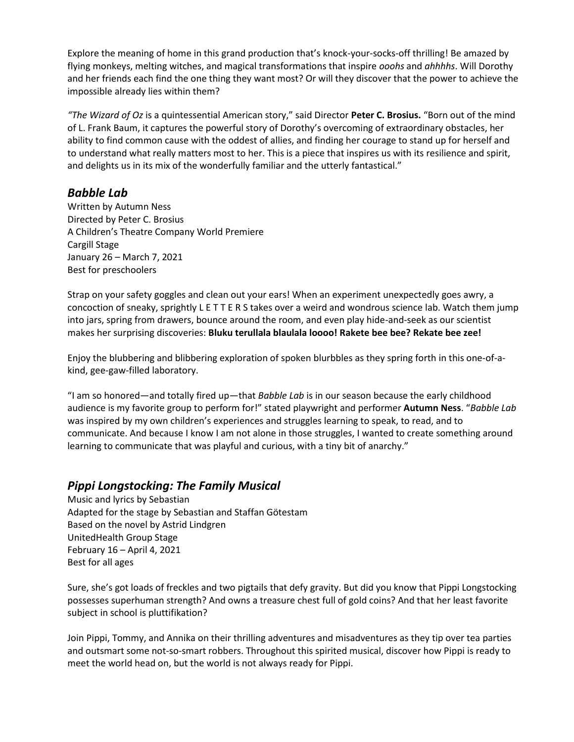Explore the meaning of home in this grand production that's knock-your-socks-off thrilling! Be amazed by flying monkeys, melting witches, and magical transformations that inspire *ooohs* and *ahhhhs*. Will Dorothy and her friends each find the one thing they want most? Or will they discover that the power to achieve the impossible already lies within them?

*"The Wizard of Oz* is a quintessential American story," said Director **Peter C. Brosius.** "Born out of the mind of L. Frank Baum, it captures the powerful story of Dorothy's overcoming of extraordinary obstacles, her ability to find common cause with the oddest of allies, and finding her courage to stand up for herself and to understand what really matters most to her. This is a piece that inspires us with its resilience and spirit, and delights us in its mix of the wonderfully familiar and the utterly fantastical."

## *Babble Lab*

Written by Autumn Ness Directed by Peter C. Brosius A Children's Theatre Company World Premiere Cargill Stage January 26 – March 7, 2021 Best for preschoolers

Strap on your safety goggles and clean out your ears! When an experiment unexpectedly goes awry, a concoction of sneaky, sprightly L E T T E R S takes over a weird and wondrous science lab. Watch them jump into jars, spring from drawers, bounce around the room, and even play hide-and-seek as our scientist makes her surprising discoveries: **Bluku terullala blaulala loooo! Rakete bee bee? Rekate bee zee!**

Enjoy the blubbering and blibbering exploration of spoken blurbbles as they spring forth in this one-of-akind, gee-gaw-filled laboratory.

"I am so honored—and totally fired up—that *Babble Lab* is in our season because the early childhood audience is my favorite group to perform for!" stated playwright and performer **Autumn Ness**. "*Babble Lab* was inspired by my own children's experiences and struggles learning to speak, to read, and to communicate. And because I know I am not alone in those struggles, I wanted to create something around learning to communicate that was playful and curious, with a tiny bit of anarchy."

## *Pippi Longstocking: The Family Musical*

Music and lyrics by Sebastian Adapted for the stage by Sebastian and Staffan Götestam Based on the novel by Astrid Lindgren UnitedHealth Group Stage February 16 – April 4, 2021 Best for all ages

Sure, she's got loads of freckles and two pigtails that defy gravity. But did you know that Pippi Longstocking possesses superhuman strength? And owns a treasure chest full of gold coins? And that her least favorite subject in school is pluttifikation?

Join Pippi, Tommy, and Annika on their thrilling adventures and misadventures as they tip over tea parties and outsmart some not-so-smart robbers. Throughout this spirited musical, discover how Pippi is ready to meet the world head on, but the world is not always ready for Pippi.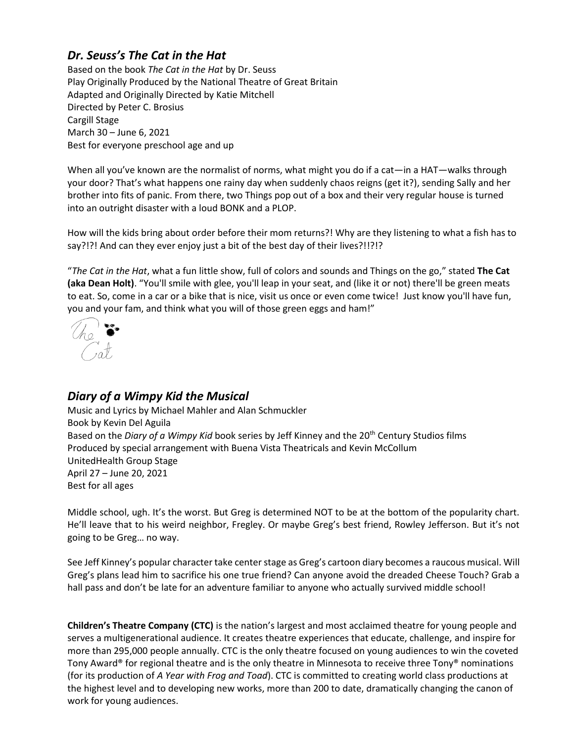# *Dr. Seuss's The Cat in the Hat*

Based on the book *The Cat in the Hat* by Dr. Seuss Play Originally Produced by the National Theatre of Great Britain Adapted and Originally Directed by Katie Mitchell Directed by Peter C. Brosius Cargill Stage March 30 – June 6, 2021 Best for everyone preschool age and up

When all you've known are the normalist of norms, what might you do if a cat—in a HAT—walks through your door? That's what happens one rainy day when suddenly chaos reigns (get it?), sending Sally and her brother into fits of panic. From there, two Things pop out of a box and their very regular house is turned into an outright disaster with a loud BONK and a PLOP.

How will the kids bring about order before their mom returns?! Why are they listening to what a fish has to say?!?! And can they ever enjoy just a bit of the best day of their lives?!!?!?

"*The Cat in the Hat*, what a fun little show, full of colors and sounds and Things on the go," stated **The Cat (aka Dean Holt)**. "You'll smile with glee, you'll leap in your seat, and (like it or not) there'll be green meats to eat. So, come in a car or a bike that is nice, visit us once or even come twice! Just know you'll have fun, you and your fam, and think what you will of those green eggs and ham!"



# *Diary of a Wimpy Kid the Musical*

Music and Lyrics by Michael Mahler and Alan Schmuckler Book by Kevin Del Aguila Based on the *Diary of a Wimpy Kid* book series by Jeff Kinney and the 20<sup>th</sup> Century Studios films Produced by special arrangement with Buena Vista Theatricals and Kevin McCollum UnitedHealth Group Stage April 27 – June 20, 2021 Best for all ages

Middle school, ugh. It's the worst. But Greg is determined NOT to be at the bottom of the popularity chart. He'll leave that to his weird neighbor, Fregley. Or maybe Greg's best friend, Rowley Jefferson. But it's not going to be Greg… no way.

See Jeff Kinney's popular character take center stage as Greg's cartoon diary becomes a raucous musical. Will Greg's plans lead him to sacrifice his one true friend? Can anyone avoid the dreaded Cheese Touch? Grab a hall pass and don't be late for an adventure familiar to anyone who actually survived middle school!

**Children's Theatre Company (CTC)** is the nation's largest and most acclaimed theatre for young people and serves a multigenerational audience. It creates theatre experiences that educate, challenge, and inspire for more than 295,000 people annually. CTC is the only theatre focused on young audiences to win the coveted Tony Award® for regional theatre and is the only theatre in Minnesota to receive three Tony® nominations (for its production of *A Year with Frog and Toad*). CTC is committed to creating world class productions at the highest level and to developing new works, more than 200 to date, dramatically changing the canon of work for young audiences.